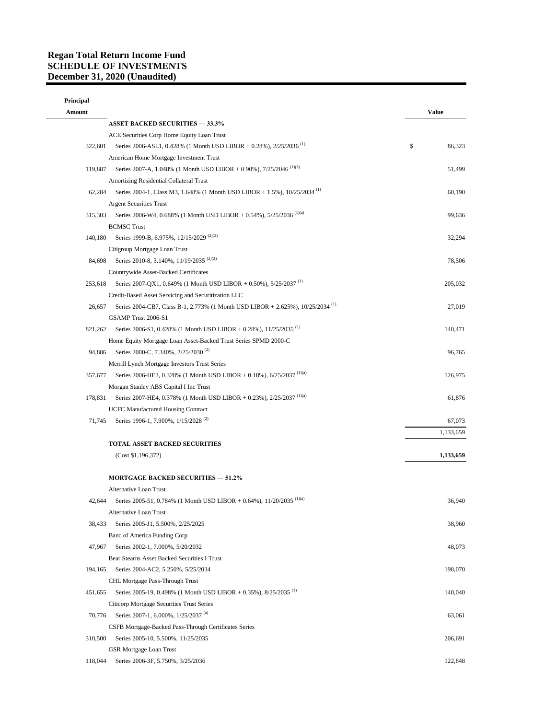## **Regan Total Return Income Fund SCHEDULE OF INVESTMENTS December 31, 2020 (Unaudited)**

| Principal<br>Amount |                                                                                                                              | <b>Value</b> |
|---------------------|------------------------------------------------------------------------------------------------------------------------------|--------------|
|                     | <b>ASSET BACKED SECURITIES - 33.3%</b>                                                                                       |              |
|                     |                                                                                                                              |              |
| 322,601             | ACE Securities Corp Home Equity Loan Trust<br>Series 2006-ASL1, 0.428% (1 Month USD LIBOR + 0.28%), 2/25/2036 <sup>(1)</sup> |              |
|                     |                                                                                                                              | \$<br>86,323 |
|                     | American Home Mortgage Investment Trust                                                                                      |              |
| 119,887             | Series 2007-A, 1.048% (1 Month USD LIBOR + 0.90%), 7/25/2046 <sup>(1)(3)</sup>                                               | 51,499       |
|                     | Amortizing Residential Collateral Trust                                                                                      |              |
| 62,284              | Series 2004-1, Class M3, 1.648% (1 Month USD LIBOR + 1.5%), 10/25/2034 <sup>(1)</sup>                                        | 60,190       |
|                     | <b>Argent Securities Trust</b>                                                                                               |              |
| 315,303             | Series 2006-W4, 0.688% (1 Month USD LIBOR + 0.54%), 5/25/2036 <sup>(1)(a)</sup>                                              | 99,636       |
|                     | <b>BCMSC Trust</b>                                                                                                           |              |
| 140,180             | Series 1999-B, 6.975%, 12/15/2029 <sup>(2)(3)</sup>                                                                          | 32,294       |
|                     | Citigroup Mortgage Loan Trust                                                                                                |              |
| 84,698              | Series 2010-8, 3.140%, 11/19/2035 <sup>(2)(3)</sup>                                                                          | 78,506       |
|                     | Countrywide Asset-Backed Certificates                                                                                        |              |
| 253,618             | Series 2007-QX1, 0.649% (1 Month USD LIBOR + 0.50%), 5/25/2037 <sup>(1)</sup>                                                | 205,032      |
|                     | Credit-Based Asset Servicing and Securitization LLC                                                                          |              |
| 26,657              | Series 2004-CB7, Class B-1, 2.773% (1 Month USD LIBOR + 2.625%), 10/25/2034 <sup>(1)</sup>                                   | 27,019       |
|                     | GSAMP Trust 2006-S1                                                                                                          |              |
| 821,262             | Series 2006-S1, 0.428% (1 Month USD LIBOR + 0.28%), 11/25/2035 <sup>(1)</sup>                                                | 140,471      |
|                     | Home Equity Mortgage Loan Asset-Backed Trust Series SPMD 2000-C                                                              |              |
| 94,886              | Series 2000-C, 7.340%, 2/25/2030 <sup>(2)</sup>                                                                              | 96,765       |
|                     | Merrill Lynch Mortgage Investors Trust Series                                                                                |              |
| 357,677             | Series 2006-HE3, 0.328% (1 Month USD LIBOR + 0.18%), 6/25/2037 <sup>(1)(a)</sup>                                             | 126,975      |
|                     | Morgan Stanley ABS Capital I Inc Trust                                                                                       |              |
| 178,831             | Series 2007-HE4, 0.378% (1 Month USD LIBOR + 0.23%), 2/25/2037 <sup>(1)(a)</sup>                                             | 61,876       |
|                     | <b>UCFC Manufactured Housing Contract</b>                                                                                    |              |
| 71,745              | Series 1996-1, 7.900%, 1/15/2028 <sup>(2)</sup>                                                                              | 67,073       |
|                     |                                                                                                                              | 1,133,659    |
|                     | <b>TOTAL ASSET BACKED SECURITIES</b>                                                                                         |              |
|                     | (Cost \$1,196,372)                                                                                                           | 1,133,659    |
|                     | <b>MORTGAGE BACKED SECURITIES - 51.2%</b>                                                                                    |              |
|                     | Alternative Loan Trust                                                                                                       |              |
| 42,644              | Series 2005-51, 0.784% (1 Month USD LIBOR + 0.64%), 11/20/2035 <sup>(1)(a)</sup>                                             | 36,940       |
|                     | Alternative Loan Trust                                                                                                       |              |
| 38,433              | Series 2005-J1, 5.500%, 2/25/2025                                                                                            | 38,960       |
|                     | Banc of America Funding Corp                                                                                                 |              |
| 47,967              | Series 2002-1, 7.000%, 5/20/2032                                                                                             | 48,073       |
|                     | Bear Stearns Asset Backed Securities I Trust                                                                                 |              |
| 194,165             | Series 2004-AC2, 5.250%, 5/25/2034                                                                                           | 198,070      |
|                     | CHL Mortgage Pass-Through Trust                                                                                              |              |
| 451.655             | Series 2005-19, 0.498% (1 Month USD LIBOR + 0.35%), $8/25/2035$ <sup>(1)</sup>                                               | 140,040      |
|                     |                                                                                                                              |              |
|                     | Citicorp Mortgage Securities Trust Series                                                                                    |              |
|                     | 70,776 Series 2007-1, 6.000%, 1/25/2037 <sup>(a)</sup>                                                                       | 63,061       |
|                     | CSFB Mortgage-Backed Pass-Through Certificates Series                                                                        |              |
| 310,500             | Series 2005-10, 5.500%, 11/25/2035                                                                                           | 206,691      |
|                     | GSR Mortgage Loan Trust                                                                                                      |              |
| 118,044             | Series 2006-3F, 5.750%, 3/25/2036                                                                                            | 122,848      |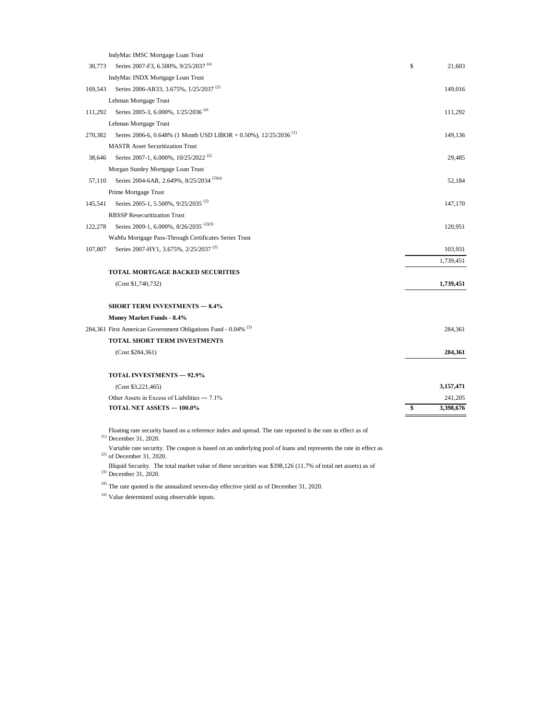|         | IndyMac IMSC Mortgage Loan Trust                                               |                |
|---------|--------------------------------------------------------------------------------|----------------|
| 30,773  | Series 2007-F3, 6.500%, 9/25/2037 <sup>(a)</sup>                               | \$<br>21,603   |
|         | IndyMac INDX Mortgage Loan Trust                                               |                |
| 169,543 | Series 2006-AR33, 3.675%, 1/25/2037 <sup>(2)</sup>                             | 149,016        |
|         | Lehman Mortgage Trust                                                          |                |
| 111,292 | Series 2005-3, 6.000%, 1/25/2036 <sup>(a)</sup>                                | 111,292        |
|         | Lehman Mortgage Trust                                                          |                |
| 270,382 | Series 2006-6, 0.648% (1 Month USD LIBOR + 0.50%), $12/25/2036$ <sup>(1)</sup> | 149,136        |
|         | <b>MASTR Asset Securitization Trust</b>                                        |                |
| 38,646  | Series 2007-1, 6.000%, 10/25/2022 <sup>(2)</sup>                               | 29,485         |
|         | Morgan Stanley Mortgage Loan Trust                                             |                |
| 57.110  | Series 2004-6AR, 2.649%, 8/25/2034 <sup>(2)(a)</sup>                           | 52,184         |
|         | Prime Mortgage Trust                                                           |                |
| 145.541 | Series 2005-1, 5.500%, 9/25/2035 <sup>(2)</sup>                                | 147,170        |
|         | <b>RBSSP Resecuritization Trust</b>                                            |                |
| 122,278 | Series 2009-1, 6.000%, 8/26/2035 <sup>(2)(3)</sup>                             | 120,951        |
|         | WaMu Mortgage Pass-Through Certificates Series Trust                           |                |
| 107,807 | Series 2007-HY1, 3.675%, 2/25/2037 <sup>(2)</sup>                              | 103,931        |
|         |                                                                                | 1,739,451      |
|         | <b>TOTAL MORTGAGE BACKED SECURITIES</b>                                        |                |
|         | (Cost \$1,740,732)                                                             | 1,739,451      |
|         | <b>SHORT TERM INVESTMENTS - 8.4%</b>                                           |                |
|         | Money Market Funds - 8.4%                                                      |                |
|         | 284,361 First American Government Obligations Fund - 0.04% (3)                 | 284,361        |
|         | TOTAL SHORT TERM INVESTMENTS                                                   |                |
|         | (Cost \$284,361)                                                               | 284,361        |
|         | <b>TOTAL INVESTMENTS - 92.9%</b>                                               |                |
|         | (Cost \$3,221,465)                                                             | 3,157,471      |
|         | Other Assets in Excess of Liabilities - 7.1%                                   | 241,205        |
|         | TOTAL NET ASSETS - 100.0%                                                      | 3,398,676<br>S |
|         |                                                                                |                |

Floating rate security based on a reference index and spread. The rate reported is the rate in effect as of <br>(1) December 21, 2020 December 31, 2020.

 $^{(2)}$  of December 31, 2020. Variable rate security. The coupon is based on an underlying pool of loans and represents the rate in effect as

Illiquid Security. The total market value of these securities was \$398,126 (11.7% of total net assets) as of  $(3)$  December 21, 2020. December 31, 2020.

 $(4)$  The rate quoted is the annualized seven-day effective yield as of December 31, 2020.

<sup>(a)</sup> Value determined using observable inputs.